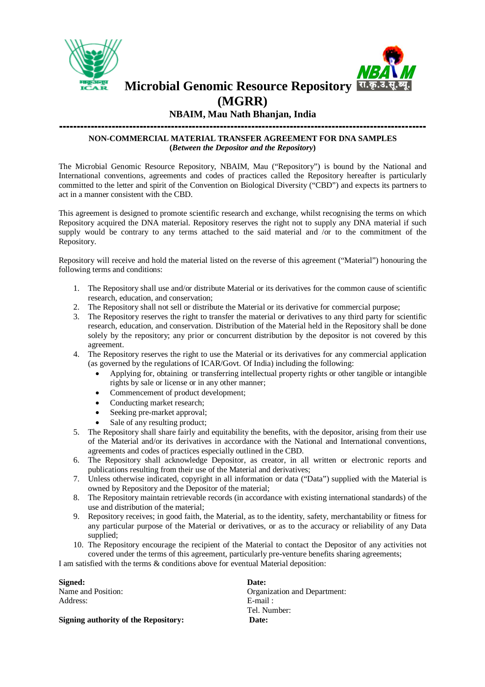



**Microbial Genomic Resource Repository**

## **(MGRR)**

## **NBAIM, Mau Nath Bhanjan, India**

#### **--------------------------------------------------------------------------------------------------------- NON-COMMERCIAL MATERIAL TRANSFER AGREEMENT FOR DNA SAMPLES (***Between the Depositor and the Repository***)**

The Microbial Genomic Resource Repository, NBAIM, Mau ("Repository") is bound by the National and International conventions, agreements and codes of practices called the Repository hereafter is particularly committed to the letter and spirit of the Convention on Biological Diversity ("CBD") and expects its partners to act in a manner consistent with the CBD.

This agreement is designed to promote scientific research and exchange, whilst recognising the terms on which Repository acquired the DNA material. Repository reserves the right not to supply any DNA material if such supply would be contrary to any terms attached to the said material and /or to the commitment of the Repository.

Repository will receive and hold the material listed on the reverse of this agreement ("Material") honouring the following terms and conditions:

- 1. The Repository shall use and/or distribute Material or its derivatives for the common cause of scientific research, education, and conservation;
- 2. The Repository shall not sell or distribute the Material or its derivative for commercial purpose;
- 3. The Repository reserves the right to transfer the material or derivatives to any third party for scientific research, education, and conservation. Distribution of the Material held in the Repository shall be done solely by the repository; any prior or concurrent distribution by the depositor is not covered by this agreement.
- 4. The Repository reserves the right to use the Material or its derivatives for any commercial application (as governed by the regulations of ICAR/Govt. Of India) including the following:
	- Applying for, obtaining or transferring intellectual property rights or other tangible or intangible rights by sale or license or in any other manner;
	- Commencement of product development;
	- Conducting market research;
	- Seeking pre-market approval;
	- Sale of any resulting product;
- 5. The Repository shall share fairly and equitability the benefits, with the depositor, arising from their use of the Material and/or its derivatives in accordance with the National and International conventions, agreements and codes of practices especially outlined in the CBD.
- 6. The Repository shall acknowledge Depositor, as creator, in all written or electronic reports and publications resulting from their use of the Material and derivatives;
- 7. Unless otherwise indicated, copyright in all information or data ("Data") supplied with the Material is owned by Repository and the Depositor of the material;
- 8. The Repository maintain retrievable records (in accordance with existing international standards) of the use and distribution of the material;
- 9. Repository receives; in good faith, the Material, as to the identity, safety, merchantability or fitness for any particular purpose of the Material or derivatives, or as to the accuracy or reliability of any Data supplied;
- 10. The Repository encourage the recipient of the Material to contact the Depositor of any activities not covered under the terms of this agreement, particularly pre-venture benefits sharing agreements;

I am satisfied with the terms & conditions above for eventual Material deposition:

**Signed: Date:** Name and Position:  $Organization$  and Department: Address: E-mail : Tel. Number: **Signing authority of the Repository: Date:**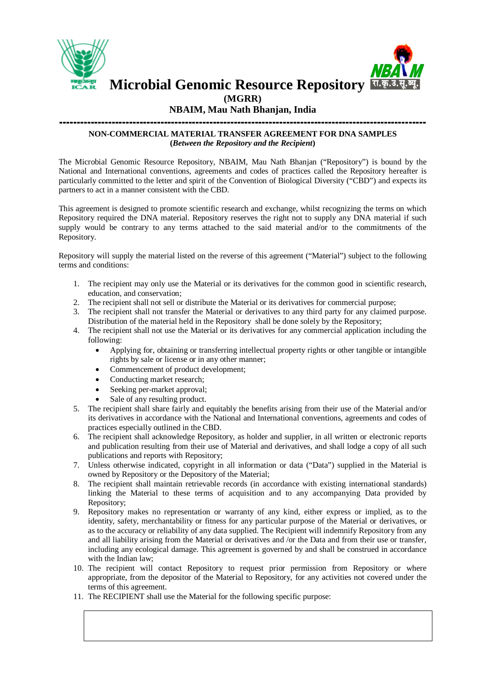



**Microbial Genomic Resource Repository**

**(MGRR)**

#### **NBAIM, Mau Nath Bhanjan, India**

#### **--------------------------------------------------------------------------------------------------------- NON-COMMERCIAL MATERIAL TRANSFER AGREEMENT FOR DNA SAMPLES (***Between the Repository and the Recipient***)**

The Microbial Genomic Resource Repository, NBAIM, Mau Nath Bhanjan ("Repository") is bound by the National and International conventions, agreements and codes of practices called the Repository hereafter is particularly committed to the letter and spirit of the Convention of Biological Diversity ("CBD") and expects its partners to act in a manner consistent with the CBD.

This agreement is designed to promote scientific research and exchange, whilst recognizing the terms on which Repository required the DNA material. Repository reserves the right not to supply any DNA material if such supply would be contrary to any terms attached to the said material and/or to the commitments of the Repository.

Repository will supply the material listed on the reverse of this agreement ("Material") subject to the following terms and conditions:

- 1. The recipient may only use the Material or its derivatives for the common good in scientific research, education, and conservation;
- 2. The recipient shall not sell or distribute the Material or its derivatives for commercial purpose;
- 3. The recipient shall not transfer the Material or derivatives to any third party for any claimed purpose. Distribution of the material held in the Repository shall be done solely by the Repository;
- 4. The recipient shall not use the Material or its derivatives for any commercial application including the following:
	- Applying for, obtaining or transferring intellectual property rights or other tangible or intangible rights by sale or license or in any other manner;
	- Commencement of product development;
	- Conducting market research;
	- Seeking per-market approval;
	- Sale of any resulting product.
- 5. The recipient shall share fairly and equitably the benefits arising from their use of the Material and/or its derivatives in accordance with the National and International conventions, agreements and codes of practices especially outlined in the CBD.
- 6. The recipient shall acknowledge Repository, as holder and supplier, in all written or electronic reports and publication resulting from their use of Material and derivatives, and shall lodge a copy of all such publications and reports with Repository;
- 7. Unless otherwise indicated, copyright in all information or data ("Data") supplied in the Material is owned by Repository or the Depository of the Material;
- 8. The recipient shall maintain retrievable records (in accordance with existing international standards) linking the Material to these terms of acquisition and to any accompanying Data provided by Repository;
- 9. Repository makes no representation or warranty of any kind, either express or implied, as to the identity, safety, merchantability or fitness for any particular purpose of the Material or derivatives, or as to the accuracy or reliability of any data supplied. The Recipient will indemnify Repository from any and all liability arising from the Material or derivatives and /or the Data and from their use or transfer, including any ecological damage. This agreement is governed by and shall be construed in accordance with the Indian law;
- 10. The recipient will contact Repository to request prior permission from Repository or where appropriate, from the depositor of the Material to Repository, for any activities not covered under the terms of this agreement.
- 11. The RECIPIENT shall use the Material for the following specific purpose: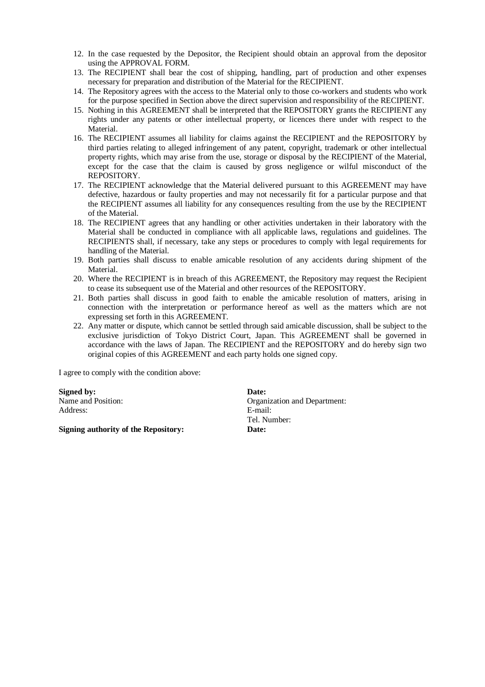- 12. In the case requested by the Depositor, the Recipient should obtain an approval from the depositor using the APPROVAL FORM.
- 13. The RECIPIENT shall bear the cost of shipping, handling, part of production and other expenses necessary for preparation and distribution of the Material for the RECIPIENT.
- 14. The Repository agrees with the access to the Material only to those co-workers and students who work for the purpose specified in Section above the direct supervision and responsibility of the RECIPIENT.
- 15. Nothing in this AGREEMENT shall be interpreted that the REPOSITORY grants the RECIPIENT any rights under any patents or other intellectual property, or licences there under with respect to the Material.
- 16. The RECIPIENT assumes all liability for claims against the RECIPIENT and the REPOSITORY by third parties relating to alleged infringement of any patent, copyright, trademark or other intellectual property rights, which may arise from the use, storage or disposal by the RECIPIENT of the Material, except for the case that the claim is caused by gross negligence or wilful misconduct of the REPOSITORY.
- 17. The RECIPIENT acknowledge that the Material delivered pursuant to this AGREEMENT may have defective, hazardous or faulty properties and may not necessarily fit for a particular purpose and that the RECIPIENT assumes all liability for any consequences resulting from the use by the RECIPIENT of the Material.
- 18. The RECIPIENT agrees that any handling or other activities undertaken in their laboratory with the Material shall be conducted in compliance with all applicable laws, regulations and guidelines. The RECIPIENTS shall, if necessary, take any steps or procedures to comply with legal requirements for handling of the Material.
- 19. Both parties shall discuss to enable amicable resolution of any accidents during shipment of the Material.
- 20. Where the RECIPIENT is in breach of this AGREEMENT, the Repository may request the Recipient to cease its subsequent use of the Material and other resources of the REPOSITORY.
- 21. Both parties shall discuss in good faith to enable the amicable resolution of matters, arising in connection with the interpretation or performance hereof as well as the matters which are not expressing set forth in this AGREEMENT.
- 22. Any matter or dispute, which cannot be settled through said amicable discussion, shall be subject to the exclusive jurisdiction of Tokyo District Court, Japan. This AGREEMENT shall be governed in accordance with the laws of Japan. The RECIPIENT and the REPOSITORY and do hereby sign two original copies of this AGREEMENT and each party holds one signed copy.

I agree to comply with the condition above:

**Signed by: Date: Date: Date: Organ** Address: E-mail:

**Signing authority of the Repository: Date:**

Organization and Department: Tel. Number: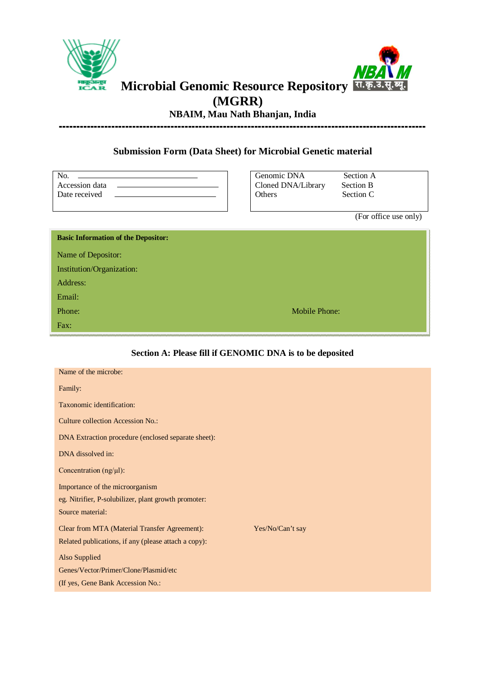



# **Microbial Genomic Resource Repository (MGRR)**

**NBAIM, Mau Nath Bhanjan, India ---------------------------------------------------------------------------------------------------------**

### **Submission Form (Data Sheet) for Microbial Genetic material**

| Accession data |  |
|----------------|--|
| Date received  |  |
|                |  |

Genomic DNA Section A Cloned DNA/Library Section B<br>Others Section C

Section C

(For office use only)

| <b>Basic Information of the Depositor:</b> |               |
|--------------------------------------------|---------------|
| Name of Depositor:                         |               |
| Institution/Organization:                  |               |
| Address:                                   |               |
| Email:                                     |               |
| Phone:                                     | Mobile Phone: |
| Fax:                                       |               |

#### **Section A: Please fill if GENOMIC DNA is to be deposited**

| Name of the microbe:                                 |                  |
|------------------------------------------------------|------------------|
| Family:                                              |                  |
| Taxonomic identification:                            |                  |
| <b>Culture collection Accession No.:</b>             |                  |
| DNA Extraction procedure (enclosed separate sheet):  |                  |
| DNA dissolved in:                                    |                  |
| Concentration $(ng/µ)$ :                             |                  |
| Importance of the microorganism                      |                  |
| eg. Nitrifier, P-solubilizer, plant growth promoter: |                  |
| Source material:                                     |                  |
| Clear from MTA (Material Transfer Agreement):        | Yes/No/Can't say |
| Related publications, if any (please attach a copy): |                  |
| Also Supplied                                        |                  |
| Genes/Vector/Primer/Clone/Plasmid/etc                |                  |
| (If yes, Gene Bank Accession No.:                    |                  |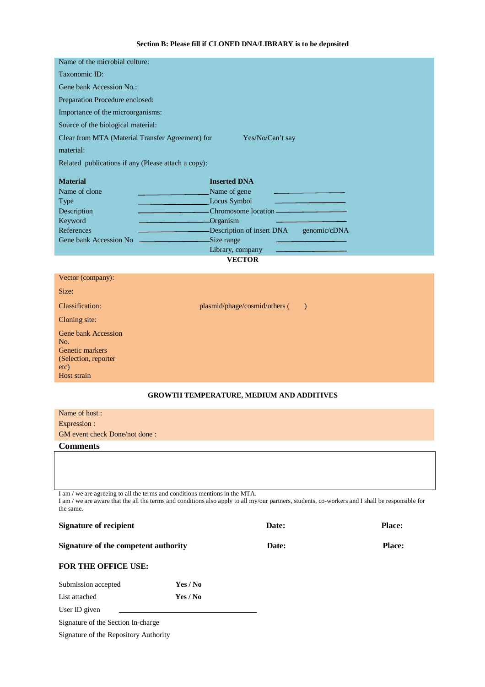#### **Section B: Please fill if CLONED DNA/LIBRARY is to be deposited**

| Name of the microbial culture:                                                                       |                                                              |  |  |  |
|------------------------------------------------------------------------------------------------------|--------------------------------------------------------------|--|--|--|
| Taxonomic ID:                                                                                        |                                                              |  |  |  |
| Gene bank Accession No.:                                                                             |                                                              |  |  |  |
| Preparation Procedure enclosed:                                                                      |                                                              |  |  |  |
| Importance of the microorganisms:                                                                    |                                                              |  |  |  |
| Source of the biological material:                                                                   |                                                              |  |  |  |
| Clear from MTA (Material Transfer Agreement) for                                                     | Yes/No/Can't say                                             |  |  |  |
| material:                                                                                            |                                                              |  |  |  |
| Related publications if any (Please attach a copy):                                                  |                                                              |  |  |  |
|                                                                                                      |                                                              |  |  |  |
| <b>Material</b>                                                                                      | <b>Inserted DNA</b>                                          |  |  |  |
| Name of clone                                                                                        | Name of gene<br>the control of the control of the control of |  |  |  |
| <b>Type</b>                                                                                          | Locus Symbol<br>the control of the control of the control of |  |  |  |
| Description                                                                                          | Chromosome location ————————————————————                     |  |  |  |
| Keyword                                                                                              | Organism                                                     |  |  |  |
| References                                                                                           | Description of insert DNA<br>genomic/cDNA                    |  |  |  |
| Gene bank Accession No<br>the control of the control of the control of the control of the control of | Size range                                                   |  |  |  |
|                                                                                                      | Library, company<br>the control of the control of the con-   |  |  |  |
|                                                                                                      | <b>VECTOR</b>                                                |  |  |  |
|                                                                                                      |                                                              |  |  |  |

| Classification:                                                                                     | plasmid/phage/cosmid/others (<br>$\rightarrow$  |  |
|-----------------------------------------------------------------------------------------------------|-------------------------------------------------|--|
| Cloning site:                                                                                       |                                                 |  |
| <b>Gene bank Accession</b><br>No.<br>Genetic markers<br>(Selection, reporter<br>etc)<br>Host strain |                                                 |  |
|                                                                                                     | <b>GROWTH TEMPERATURE, MEDIUM AND ADDITIVES</b> |  |

# Name of host : Expression : GM event check Done/not done : **Comments**

I am / we are agreeing to all the terms and conditions mentions in the MTA. I am / we are aware that the all the terms and conditions also apply to all my/our partners, students, co-workers and I shall be responsible for the same.

| <b>Signature of recipient</b><br>Signature of the competent authority |          | Date:<br>Date: | <b>Place:</b> |
|-----------------------------------------------------------------------|----------|----------------|---------------|
|                                                                       |          |                | <b>Place:</b> |
| <b>FOR THE OFFICE USE:</b>                                            |          |                |               |
| Submission accepted                                                   | Yes / No |                |               |
| List attached                                                         | Yes / No |                |               |
| User ID given                                                         |          |                |               |

Signature of the Section In-charge

Vector (company):

Size:

Signature of the Repository Authority